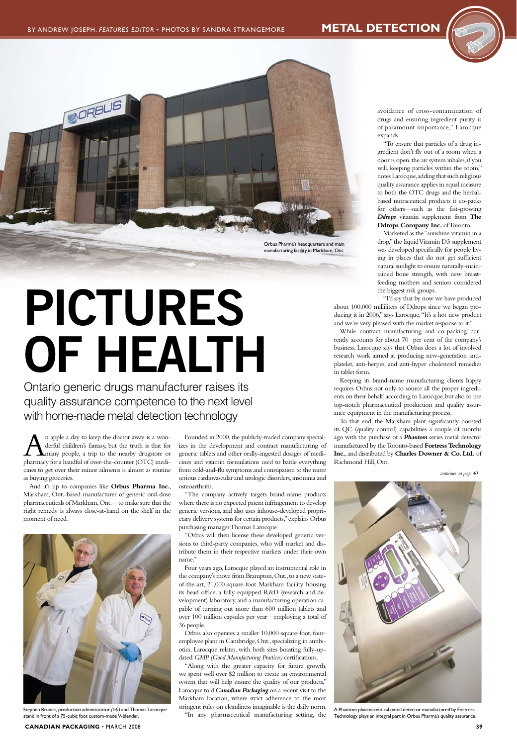$\sum_{\text{derful children's fartasy, but the truth is that for many people, a trip to the nearby drugstore or pharmacy for a handful of over the counter (OTC) medi$ derful children's fantasy, but the truth is that for many people, a trip to the nearby drugstore or pharmacy for a handful of over-the-counter (OTC) medicines to get over their minor ailments is almost as routine as buying groceries.

And it's up to companies like **Orbus Pharma Inc.**, Markham, Ont.-based manufacturer of generic oral-dose pharmaceuticals of Markham, Ont.—to make sure that the right remedy is always close-at-hand on the shelf in the moment of need.



Founded in 2000, the publicly-traded company specializes in the development and contract manufacturing of generic tablets and other orally-ingested dosages of medicines and vitamin formulations used to battle everything from cold-and-flu symptoms and constipation to the more serious cardiovascular and urologic disorders, insomnia and osteoarthritis.

"The company actively targets brand-name products where there is no expected patent infringement to develop generic versions, and also uses inhouse-developed proprietary delivery systems for certain products," explains Orbus purchasing manager Thomas Larocque.

avoidance of cross-contamination of drugs and ensuring ingredient purity is of paramount importance," Larocque expands.

"Orbus will then license these developed generic versions to third-party companies, who will market and distribute them in their respective markets under their own name."

Four years ago, Larocque played an instrumental role in the company's move from Brampton, Ont., to a new stateof-the-art, 21,000-square-foot Markham facility housing its head office, a fully-equipped R&D (research-and-development) laboratory, and a manufacturing operation capable of turning out more than 600 million tablets and over 100 million capsules per year—employing a total of 36 people. Orbus also operates a smaller 10,000-square-foot, fouremployee plant in Cambridge, Ont., specializing in antibiotics, Larocque relates, with both sites boasting fully-updated *GMP (Good Manufacturing Practices)* certifications. "Along with the greater capacity for future growth, we spent well over \$2 million to create an environmental system that will help ensure the quality of our products," Larocque told *Canadian Packaging* on a recent visit to the Markham location, where strict adherence to the most stringent rules on cleanliness imaginable is the daily norm. "In any pharmaceutical manufacturing setting, the

"To ensure that particles of a drug ingredient don't fly out of a room when a door is open, the air system inhales, if you will, keeping particles within the room," notes Larocque, adding that such religious quality assurance applies in equal measure to both the OTC drugs and the herbalbased nutraceutical products it co-packs for others—such as the fast-growing *Ddrops* vitamin supplement from **The Ddrops Company Inc.** of Toronto.

Marketed as the "sunshine vitamin in a drop," the liquid Vitamin D3 supplement was developed specifically for people living in places that do not get sufficient natural sunlight to ensure naturally-maintained bone strength, with new breastfeeding mothers and seniors considered the biggest risk groups.

"I'd say that by now we have produced about 100,000 milliliters of Ddrops since we began producing it in 2006," says Larocque. "It's a hot new product and we're very pleased with the market response to it."

While contract manufacturing and co-packing currently accounts for about 70 per cent of the company's business, Larocque says that Orbus does a lot of involved research work aimed at producing new-generation antiplatelet, anti-herpes, and anti-hyper cholesterol remedies in tablet form.

Keeping its brand-name manufacturing clients happy requires Orbus not only to source all the proper ingredients on their behalf, according to Larocque, but also to use top-notch pharmaceutical production and quality assurance equipment in the manufacturing process.

To that end, the Markham plant significantly boosted its QC (quality control) capabilities a couple of months ago with the purchase of a *Phantom* series metal detector manufactured by the Toronto-based **Fortress Technology Inc.**, and distributed by **Charles Downer & Co. Ltd.** of Richmond Hill, Ont.

A Phantom pharmaceutical metal detector manufactured by Fortress Technology plays an integral part in Orbus Pharma's quality assurance.

Ontario generic drugs manufacturer raises its quality assurance competence to the next level with home-made metal detection technology

# **PICTURES OF HEALTH**







Stephen Brunck, production administrator *(left)* and Thomas Larocque stand in front of a 75-cubic foot custom-made V-blender.

## **CANADIAN PACKAGING** • MARCH 2008 **39 39**

*continues on page 40*